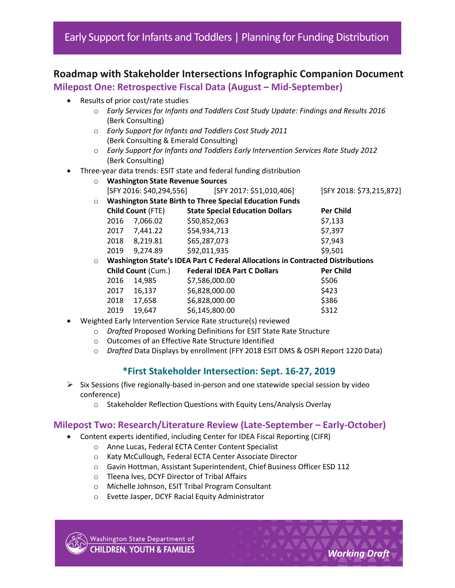# **Roadmap with Stakeholder Intersections Infographic Companion Document**

**Milepost One: Retrospective Fiscal Data (August – Mid-September)**

- Results of prior cost/rate studies
	- o *Early Services for Infants and Toddlers Cost Study Update: Findings and Results 2016* (Berk Consulting)
	- o *Early Support for Infants and Toddlers Cost Study 2011*  (Berk Consulting & Emerald Consulting)
	- o *Early Support for Infants and Toddlers Early Intervention Services Rate Study 2012* (Berk Consulting)
- Three-year data trends: ESIT state and federal funding distribution
	- o **Washington State Revenue Sources** [SFY 2016: \$40,294,556] [SFY 2017: \$51,010,406] [SFY 2018: \$73,215,872] o **Washington State Birth to Three Special Education Funds Child Count** (FTE) **State Special Education Dollars Per Child**  2016 7,066.02 \$50,852,063 \$7,133 2017 7,441.22 \$54,934,713 \$7,397 2018 8,219.81 \$65,287,073 \$7,943 2019 9,274.89 \$92,011,935 \$9,501 o **Washington State's IDEA Part C Federal Allocations in Contracted Distributions Child Count** (Cum.) **Federal IDEA Part C Dollars Per Child** 2016 14,985 \$7,586,000.00 \$506 2017 16,137 \$6,828,000.00 \$423 2018 17,658 \$6,828,000.00 \$386 2019 19,647 \$6,145,800.00 \$312
- Weighted Early Intervention Service Rate structure(s) reviewed
	- o *Drafted* Proposed Working Definitions for ESIT State Rate Structure
	- o Outcomes of an Effective Rate Structure Identified
	- o *Drafted* Data Displays by enrollment (FFY 2018 ESIT DMS & OSPI Report 1220 Data)

## **\*First Stakeholder Intersection: Sept. 16-27, 2019**

- $\triangleright$  Six Sessions (five regionally-based in-person and one statewide special session by video conference)
	- o Stakeholder Reflection Questions with Equity Lens/Analysis Overlay

#### **Milepost Two: Research/Literature Review (Late-September – Early-October)**

- Content experts identified, including Center for IDEA Fiscal Reporting (CIFR)
	- o Anne Lucas, Federal ECTA Center Content Specialist
	- o Katy McCullough, Federal ECTA Center Associate Director
	- o Gavin Hottman, Assistant Superintendent, Chief Business Officer ESD 112
	- o Tleena Ives, DCYF Director of Tribal Affairs
	- o Michelle Johnson, ESIT Tribal Program Consultant
	- o Evette Jasper, DCYF Racial Equity Administrator